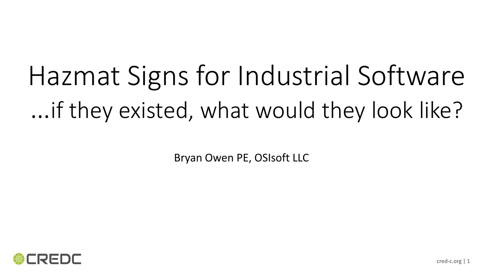# Hazmat Signs for Industrial Software …if they existed, what would they look like?

Bryan Owen PE, OSIsoft LLC

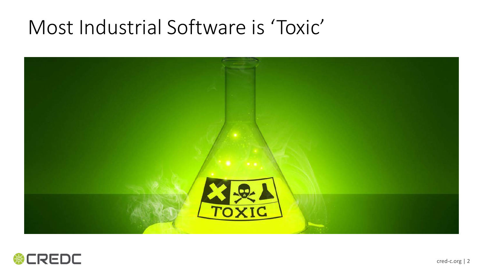### Most Industrial Software is 'Toxic'



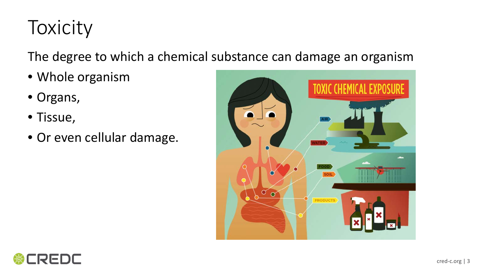## Toxicity

The degree to which a chemical substance can damage an organism

- Whole organism
- Organs,
- Tissue,
- Or even cellular damage.



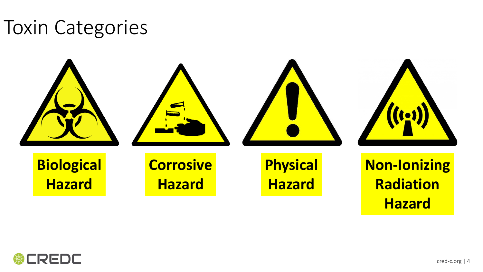#### Toxin Categories



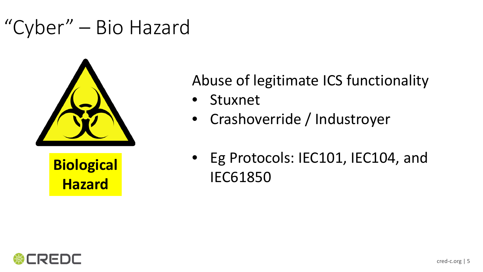### "Cyber" – Bio Hazard



**Hazard**

#### Abuse of legitimate ICS functionality

- **Stuxnet**
- Crashoverride / Industroyer
- Eg Protocols: IEC101, IEC104, and Biological<br>
IEC61850

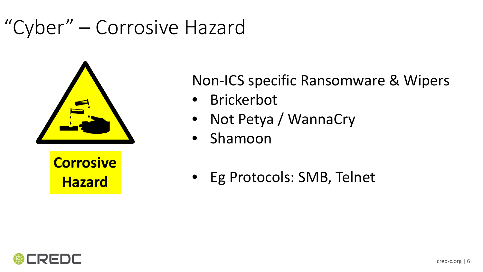### "Cyber" – Corrosive Hazard



**Corrosive Hazard**

Non-ICS specific Ransomware & Wipers

- Brickerbot
- Not Petya / WannaCry
- Shamoon
- Eg Protocols: SMB, Telnet

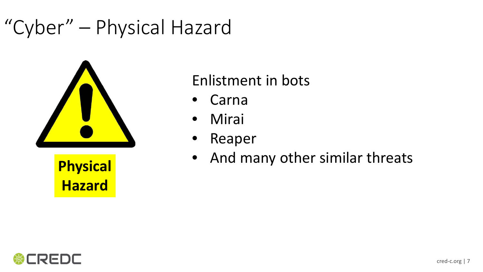### "Cyber" – Physical Hazard



**Hazard**

#### Enlistment in bots

- Carna
- Mirai
- Reaper
- And many other similar threats **Physical**

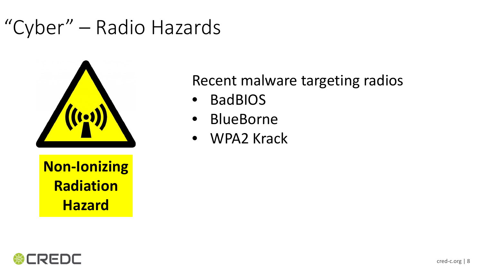### "Cyber" – Radio Hazards



**Non-Ionizing Radiation Hazard**

#### Recent malware targeting radios

- BadBIOS
- BlueBorne
- WPA2 Krack

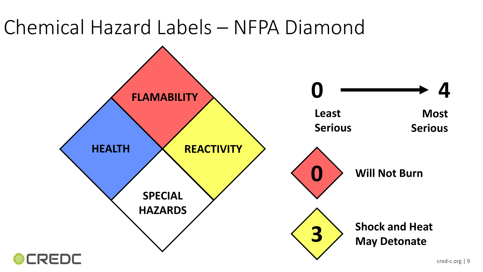### Chemical Hazard Labels – NFPA Diamond

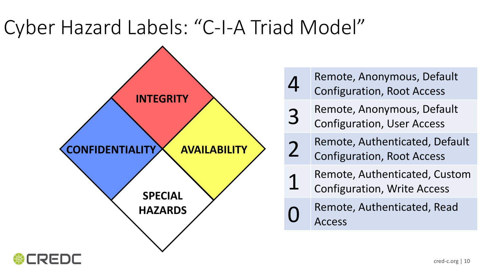## Cyber Hazard Labels: "C-I-A Triad Model"



- Remote, Anonymous, Default Configuration, Root Access
- 3 Remote, Anonymous, Default<br>3 Configuration Llser Access Configuration, User Access
- 2 Remote, Authenticated, Default Configuration, Root Access
	- Remote, Authenticated, Custom
	- Configuration, Write Access
	- Remote, Authenticated, Read Access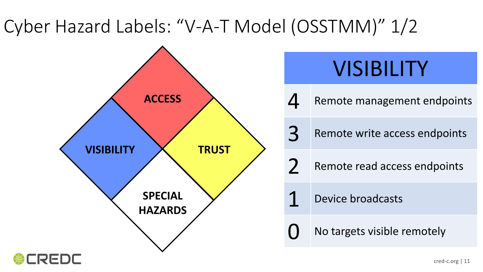### Cyber Hazard Labels: "V-A-T Model (OSSTMM)" 1/2



## VISIBILITY

Remote management endpoints

3 Remote write access endpoints

2 Remote read access endpoints

Device broadcasts

No targets visible remotely

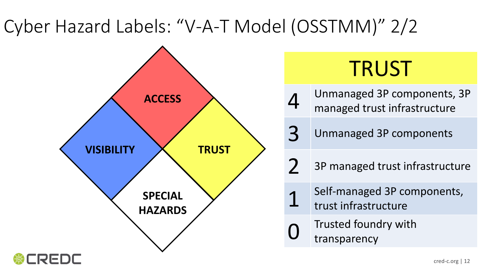### Cyber Hazard Labels: "V-A-T Model (OSSTMM)" 2/2



## TRUST

4 Unmanaged 3P components, 3P managed trust infrastructure

3 Unmanaged 3P components

 $2$  3P managed trust infrastructure

- 1 Self-managed 3P components, trust infrastructure
	- Trusted foundry with transparency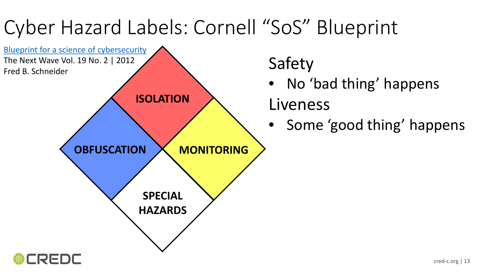## Cyber Hazard Labels: Cornell "SoS" Blueprint



REDL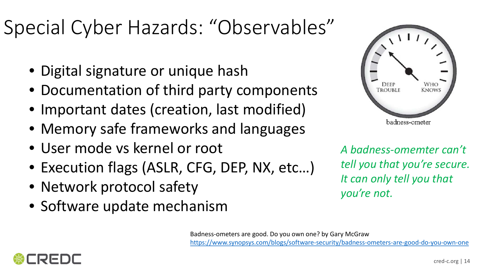## Special Cyber Hazards: "Observables"

- Digital signature or unique hash
- Documentation of third party components
- Important dates (creation, last modified)
- Memory safe frameworks and languages
- User mode vs kernel or root
- Execution flags (ASLR, CFG, DEP, NX, etc…)
- Network protocol safety
- Software update mechanism



*A badness-omemter can't tell you that you're secure. It can only tell you that you're not.*

Badness-ometers are good. Do you own one? by Gary McGraw

<https://www.synopsys.com/blogs/software-security/badness-ometers-are-good-do-you-own-one>

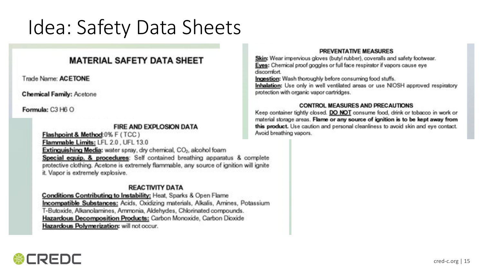### Idea: Safety Data Sheets

#### **MATERIAL SAFETY DATA SHEET**

Trade Name: ACETONE

**Chemical Family: Acetone** 

Formula: C3 H6 O

#### **FIRE AND EXPLOSION DATA**

Flashpoint & Method:0% F (TCC) Flammable Limits; LFL 2.0, UFL 13.0 **Extinguishing Media:** water spray, dry chemical, CO<sub>2</sub>, alcohol foam Special equip. & procedures: Self contained breathing apparatus & complete protective clothing. Acetone is extremely flammable, any source of ignition will ignite it. Vapor is extremely explosive.

#### **REACTIVITY DATA**

Conditions Contributing to Instability: Heat, Sparks & Open Flame **Incompatible Substances:** Acids, Oxidizing materials, Alkalis, Amines, Potassium T-Butoxide, Alkanolamines, Ammonia, Aldehydes, Chlorinated compounds. Hazardous Decomposition Products: Carbon Monoxide, Carbon Dioxide Hazardous Polymerization: will not occur.

#### **PREVENTATIVE MEASURES**

Skin: Wear impervious gloves (butyl rubber), coveralls and safety footwear. Eyes: Chemical proof goggles or full face respirator if vapors cause eye discomfort.

Ingestion: Wash thoroughly before consuming food stuffs.

Inhalation: Use only in well ventilated areas or use NIOSH approved respiratory protection with organic vapor cartridges.

#### **CONTROL MEASURES AND PRECAUTIONS**

Keep container tightly closed. DO NOT consume food, drink or tobacco in work or material storage areas. Flame or any source of ignition is to be kept away from this product. Use caution and personal cleanliness to avoid skin and eye contact. Avoid breathing vapors.

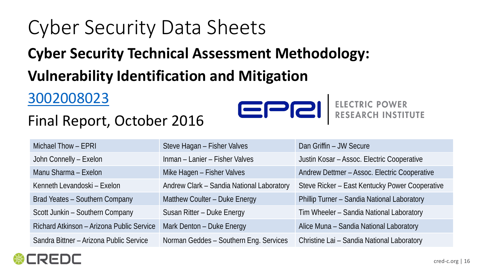## Cyber Security Data Sheets

#### **Cyber Security Technical Assessment Methodology:**

#### **Vulnerability Identification and Mitigation**

#### [3002008023](https://membercenter.epri.com/abstracts/Pages/ProductAbstract.aspx?ProductId=000000003002008023)

#### Final Report, October 2016



## ......<br>Istitute

| Michael Thow - EPRI                       | Steve Hagan - Fisher Valves               | Dan Griffin - JW Secure                        |
|-------------------------------------------|-------------------------------------------|------------------------------------------------|
| John Connelly - Exelon                    | Inman - Lanier - Fisher Valves            | Justin Kosar - Assoc. Electric Cooperative     |
| Manu Sharma - Exelon                      | Mike Hagen - Fisher Valves                | Andrew Dettmer - Assoc. Electric Cooperative   |
| Kenneth Levandoski - Exelon               | Andrew Clark - Sandia National Laboratory | Steve Ricker - East Kentucky Power Cooperative |
| Brad Yeates - Southern Company            | Matthew Coulter - Duke Energy             | Phillip Turner - Sandia National Laboratory    |
| Scott Junkin - Southern Company           | Susan Ritter - Duke Energy                | Tim Wheeler - Sandia National Laboratory       |
| Richard Atkinson - Arizona Public Service | Mark Denton - Duke Energy                 | Alice Muna - Sandia National Laboratory        |
| Sandra Bittner - Arizona Public Service   | Norman Geddes - Southern Eng. Services    | Christine Lai - Sandia National Laboratory     |
|                                           |                                           |                                                |

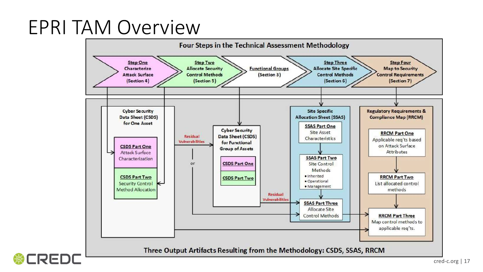### EPRI TAM Overview

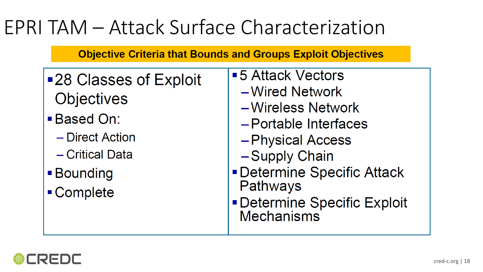### EPRI TAM – Attack Surface Characterization

#### **Objective Criteria that Bounds and Groups Exploit Objectives**

- ■28 Classes of Exploit **Objectives** 
	- **Based On:** 
		- Direct Action
		- Critical Data
	- Bounding
	- Complete
- ■5 Attack Vectors
	- -Wired Network
	- -Wireless Network
	- -Portable Interfaces
	- -Physical Access
	- -Supply Chain
- **Determine Specific Attack** Pathways
- **Determine Specific Exploit** Mechanisms

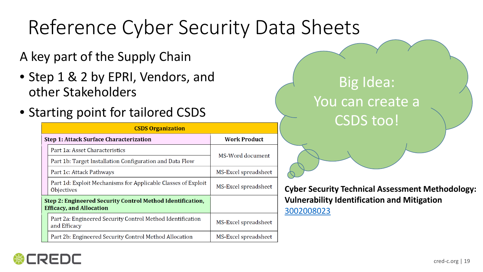## Reference Cyber Security Data Sheets

A key part of the Supply Chain

- Step 1 & 2 by EPRI, Vendors, and other Stakeholders
- Starting point for tailored CSDS

| <b>CSDS Organization</b>                                                                      |                                                                                    |                      |  |
|-----------------------------------------------------------------------------------------------|------------------------------------------------------------------------------------|----------------------|--|
| <b>Step 1: Attack Surface Characterization</b>                                                |                                                                                    | <b>Work Product</b>  |  |
|                                                                                               | Part 1a: Asset Characteristics                                                     | MS-Word document     |  |
|                                                                                               | Part 1b: Target Installation Configuration and Data Flow                           |                      |  |
|                                                                                               | Part 1c: Attack Pathways                                                           | MS-Excel spreadsheet |  |
|                                                                                               | Part 1d: Exploit Mechanisms for Applicable Classes of Exploit<br><b>Objectives</b> | MS-Excel spreadsheet |  |
| Step 2: Engineered Security Control Method Identification,<br><b>Efficacy, and Allocation</b> |                                                                                    |                      |  |
|                                                                                               | Part 2a: Engineered Security Control Method Identification<br>and Efficacy         | MS-Excel spreadsheet |  |
|                                                                                               | Part 2b: Engineered Security Control Method Allocation                             | MS-Excel spreadsheet |  |

#### Big Idea: You can create a CSDS too!

**Cyber Security Technical Assessment Methodology: Vulnerability Identification and Mitigation** [3002008023](https://membercenter.epri.com/abstracts/Pages/ProductAbstract.aspx?ProductId=000000003002008023)